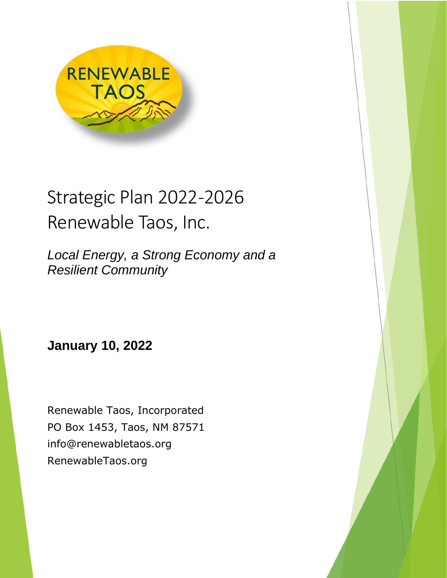

# Strategic Plan 2022-2026 Renewable Taos, Inc.

*Local Energy, a Strong Economy and a Resilient Community*

**January 10, 2022**

Renewable Taos, Incorporated PO Box 1453, Taos, NM 87571 info@renewabletaos.org RenewableTaos.org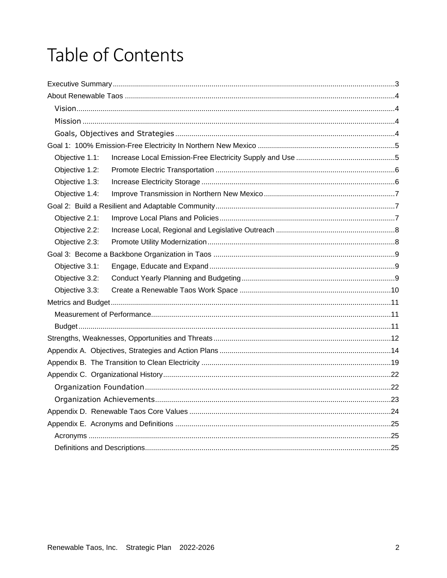# Table of Contents

| Objective 1.1: |  |  |
|----------------|--|--|
| Objective 1.2: |  |  |
| Objective 1.3: |  |  |
| Objective 1.4: |  |  |
|                |  |  |
| Objective 2.1: |  |  |
| Objective 2.2: |  |  |
| Objective 2.3: |  |  |
|                |  |  |
| Objective 3.1: |  |  |
| Objective 3.2: |  |  |
| Objective 3.3: |  |  |
|                |  |  |
|                |  |  |
|                |  |  |
|                |  |  |
|                |  |  |
|                |  |  |
|                |  |  |
|                |  |  |
|                |  |  |
|                |  |  |
|                |  |  |
|                |  |  |
|                |  |  |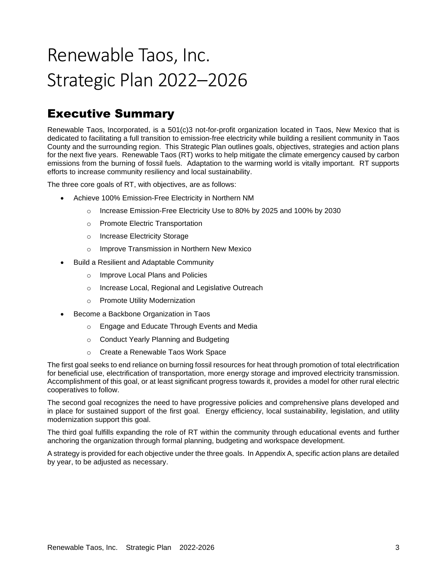# Renewable Taos, Inc. Strategic Plan 2022–2026

# <span id="page-2-0"></span>Executive Summary

Renewable Taos, Incorporated, is a 501(c)3 not-for-profit organization located in Taos, New Mexico that is dedicated to facilitating a full transition to emission-free electricity while building a resilient community in Taos County and the surrounding region. This Strategic Plan outlines goals, objectives, strategies and action plans for the next five years. Renewable Taos (RT) works to help mitigate the climate emergency caused by carbon emissions from the burning of fossil fuels. Adaptation to the warming world is vitally important. RT supports efforts to increase community resiliency and local sustainability.

The three core goals of RT, with objectives, are as follows:

- Achieve 100% Emission-Free Electricity in Northern NM
	- o Increase Emission-Free Electricity Use to 80% by 2025 and 100% by 2030
	- o Promote Electric Transportation
	- o Increase Electricity Storage
	- o Improve Transmission in Northern New Mexico
	- Build a Resilient and Adaptable Community
		- o Improve Local Plans and Policies
		- o Increase Local, Regional and Legislative Outreach
		- o Promote Utility Modernization
- Become a Backbone Organization in Taos
	- o Engage and Educate Through Events and Media
	- o Conduct Yearly Planning and Budgeting
	- o Create a Renewable Taos Work Space

The first goal seeks to end reliance on burning fossil resources for heat through promotion of total electrification for beneficial use, electrification of transportation, more energy storage and improved electricity transmission. Accomplishment of this goal, or at least significant progress towards it, provides a model for other rural electric cooperatives to follow.

The second goal recognizes the need to have progressive policies and comprehensive plans developed and in place for sustained support of the first goal. Energy efficiency, local sustainability, legislation, and utility modernization support this goal.

The third goal fulfills expanding the role of RT within the community through educational events and further anchoring the organization through formal planning, budgeting and workspace development.

A strategy is provided for each objective under the three goals. In Appendix A, specific action plans are detailed by year, to be adjusted as necessary.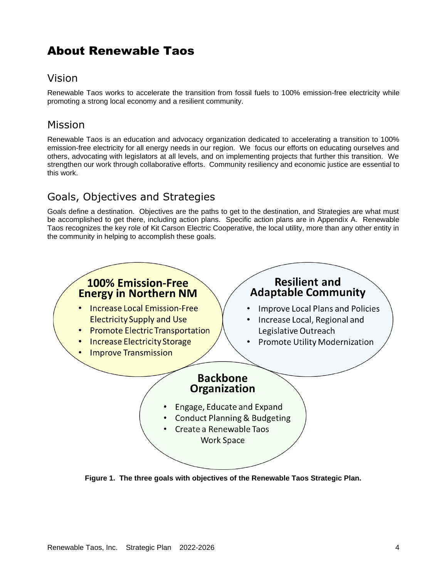# <span id="page-3-0"></span>About Renewable Taos

# <span id="page-3-1"></span>Vision

Renewable Taos works to accelerate the transition from fossil fuels to 100% emission-free electricity while promoting a strong local economy and a resilient community.

# <span id="page-3-2"></span>Mission

Renewable Taos is an education and advocacy organization dedicated to accelerating a transition to 100% emission-free electricity for all energy needs in our region. We focus our efforts on educating ourselves and others, advocating with legislators at all levels, and on implementing projects that further this transition. We strengthen our work through collaborative efforts. Community resiliency and economic justice are essential to this work.

# <span id="page-3-3"></span>Goals, Objectives and Strategies

Goals define a destination. Objectives are the paths to get to the destination, and Strategies are what must be accomplished to get there, including action plans. Specific action plans are in Appendix A. Renewable Taos recognizes the key role of Kit Carson Electric Cooperative, the local utility, more than any other entity in the community in helping to accomplish these goals.



**Figure 1. The three goals with objectives of the Renewable Taos Strategic Plan.**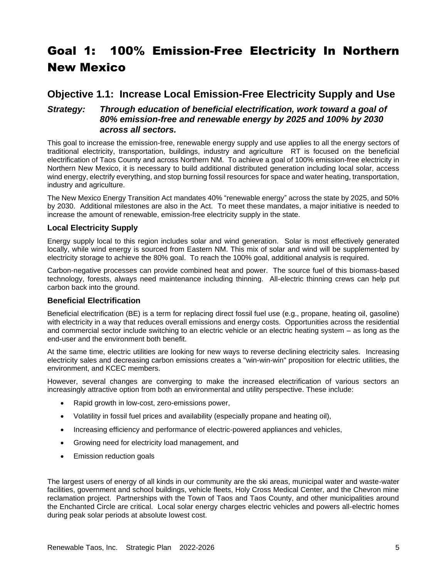# <span id="page-4-0"></span>Goal 1: 100% Emission-Free Electricity In Northern New Mexico

### <span id="page-4-1"></span>**Objective 1.1: Increase Local Emission-Free Electricity Supply and Use**

#### *Strategy: Through education of beneficial electrification, work toward a goal of 80% emission-free and renewable energy by 2025 and 100% by 2030 across all sectors.*

This goal to increase the emission-free, renewable energy supply and use applies to all the energy sectors of traditional electricity, transportation, buildings, industry and agriculture RT is focused on the beneficial electrification of Taos County and across Northern NM. To achieve a goal of 100% emission-free electricity in Northern New Mexico, it is necessary to build additional distributed generation including local solar, access wind energy, electrify everything, and stop burning fossil resources for space and water heating, transportation, industry and agriculture.

The New Mexico Energy Transition Act mandates 40% "renewable energy" across the state by 2025, and 50% by 2030. Additional milestones are also in the Act. To meet these mandates, a major initiative is needed to increase the amount of renewable, emission-free electricity supply in the state.

#### **Local Electricity Supply**

Energy supply local to this region includes solar and wind generation. Solar is most effectively generated locally, while wind energy is sourced from Eastern NM. This mix of solar and wind will be supplemented by electricity storage to achieve the 80% goal. To reach the 100% goal, additional analysis is required.

Carbon-negative processes can provide combined heat and power. The source fuel of this biomass-based technology, forests, always need maintenance including thinning. All-electric thinning crews can help put carbon back into the ground.

#### **Beneficial Electrification**

Beneficial electrification (BE) is a term for replacing direct fossil fuel use (e.g., propane, heating oil, gasoline) with electricity in a way that reduces overall emissions and energy costs. Opportunities across the residential and commercial sector include switching to an electric vehicle or an electric heating system – as long as the end-user and the environment both benefit.

At the same time, electric utilities are looking for new ways to reverse declining electricity sales. Increasing electricity sales and decreasing carbon emissions creates a "win-win-win" proposition for electric utilities, the environment, and KCEC members.

However, several changes are converging to make the increased electrification of various sectors an increasingly attractive option from both an environmental and utility perspective. These include:

- Rapid growth in low-cost, zero-emissions power,
- Volatility in fossil fuel prices and availability (especially propane and heating oil),
- Increasing efficiency and performance of electric-powered appliances and vehicles,
- Growing need for electricity load management, and
- Emission reduction goals

The largest users of energy of all kinds in our community are the ski areas, municipal water and waste-water facilities, government and school buildings, vehicle fleets, Holy Cross Medical Center, and the Chevron mine reclamation project. Partnerships with the Town of Taos and Taos County, and other municipalities around the Enchanted Circle are critical. Local solar energy charges electric vehicles and powers all-electric homes during peak solar periods at absolute lowest cost.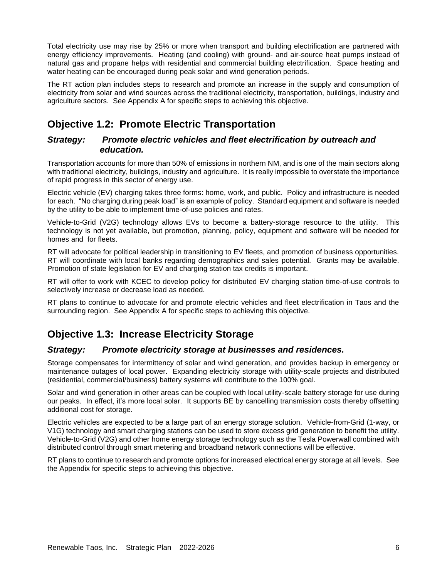Total electricity use may rise by 25% or more when transport and building electrification are partnered with energy efficiency improvements. Heating (and cooling) with ground- and air-source heat pumps instead of natural gas and propane helps with residential and commercial building electrification. Space heating and water heating can be encouraged during peak solar and wind generation periods.

The RT action plan includes steps to research and promote an increase in the supply and consumption of electricity from solar and wind sources across the traditional electricity, transportation, buildings, industry and agriculture sectors. See Appendix A for specific steps to achieving this objective.

# <span id="page-5-0"></span>**Objective 1.2: Promote Electric Transportation**

#### *Strategy: Promote electric vehicles and fleet electrification by outreach and education.*

Transportation accounts for more than 50% of emissions in northern NM, and is one of the main sectors along with traditional electricity, buildings, industry and agriculture. It is really impossible to overstate the importance of rapid progress in this sector of energy use.

Electric vehicle (EV) charging takes three forms: home, work, and public. Policy and infrastructure is needed for each. "No charging during peak load" is an example of policy. Standard equipment and software is needed by the utility to be able to implement time-of-use policies and rates.

Vehicle-to-Grid (V2G) technology allows EVs to become a battery-storage resource to the utility. This technology is not yet available, but promotion, planning, policy, equipment and software will be needed for homes and for fleets.

RT will advocate for political leadership in transitioning to EV fleets, and promotion of business opportunities. RT will coordinate with local banks regarding demographics and sales potential. Grants may be available. Promotion of state legislation for EV and charging station tax credits is important.

RT will offer to work with KCEC to develop policy for distributed EV charging station time-of-use controls to selectively increase or decrease load as needed.

RT plans to continue to advocate for and promote electric vehicles and fleet electrification in Taos and the surrounding region. See Appendix A for specific steps to achieving this objective.

# <span id="page-5-1"></span>**Objective 1.3: Increase Electricity Storage**

#### *Strategy: Promote electricity storage at businesses and residences.*

Storage compensates for intermittency of solar and wind generation, and provides backup in emergency or maintenance outages of local power. Expanding electricity storage with utility-scale projects and distributed (residential, commercial/business) battery systems will contribute to the 100% goal.

Solar and wind generation in other areas can be coupled with local utility-scale battery storage for use during our peaks. In effect, it's more local solar. It supports BE by cancelling transmission costs thereby offsetting additional cost for storage.

Electric vehicles are expected to be a large part of an energy storage solution. Vehicle-from-Grid (1-way, or V1G) technology and smart charging stations can be used to store excess grid generation to benefit the utility. Vehicle-to-Grid (V2G) and other home energy storage technology such as the Tesla Powerwall combined with distributed control through smart metering and broadband network connections will be effective.

RT plans to continue to research and promote options for increased electrical energy storage at all levels. See the Appendix for specific steps to achieving this objective.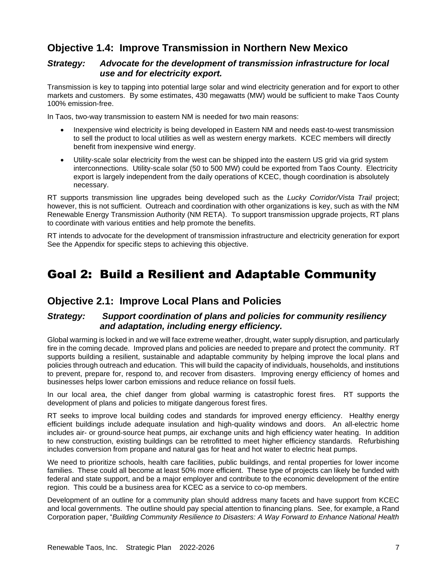# <span id="page-6-0"></span>**Objective 1.4: Improve Transmission in Northern New Mexico**

#### *Strategy: Advocate for the development of transmission infrastructure for local use and for electricity export.*

Transmission is key to tapping into potential large solar and wind electricity generation and for export to other markets and customers. By some estimates, 430 megawatts (MW) would be sufficient to make Taos County 100% emission-free.

In Taos, two-way transmission to eastern NM is needed for two main reasons:

- Inexpensive wind electricity is being developed in Eastern NM and needs east-to-west transmission to sell the product to local utilities as well as western energy markets. KCEC members will directly benefit from inexpensive wind energy.
- Utility-scale solar electricity from the west can be shipped into the eastern US grid via grid system interconnections. Utility-scale solar (50 to 500 MW) could be exported from Taos County. Electricity export is largely independent from the daily operations of KCEC, though coordination is absolutely necessary.

RT supports transmission line upgrades being developed such as the *Lucky Corridor/Vista Trail* project; however, this is not sufficient. Outreach and coordination with other organizations is key, such as with the NM Renewable Energy Transmission Authority (NM RETA). To support transmission upgrade projects, RT plans to coordinate with various entities and help promote the benefits.

RT intends to advocate for the development of transmission infrastructure and electricity generation for export See the Appendix for specific steps to achieving this objective.

# <span id="page-6-1"></span>Goal 2: Build a Resilient and Adaptable Community

## <span id="page-6-2"></span>**Objective 2.1: Improve Local Plans and Policies**

#### *Strategy: Support coordination of plans and policies for community resiliency and adaptation, including energy efficiency.*

Global warming is locked in and we will face extreme weather, drought, water supply disruption, and particularly fire in the coming decade. Improved plans and policies are needed to prepare and protect the community. RT supports building a resilient, sustainable and adaptable community by helping improve the local plans and policies through outreach and education. This will build the capacity of individuals, households, and institutions to prevent, prepare for, respond to, and recover from disasters. Improving energy efficiency of homes and businesses helps lower carbon emissions and reduce reliance on fossil fuels.

In our local area, the chief danger from global warming is catastrophic forest fires. RT supports the development of plans and policies to mitigate dangerous forest fires.

RT seeks to improve local building codes and standards for improved energy efficiency. Healthy energy efficient buildings include adequate insulation and high-quality windows and doors. An all-electric home includes air- or ground-source heat pumps, air exchange units and high efficiency water heating. In addition to new construction, existing buildings can be retrofitted to meet higher efficiency standards. Refurbishing includes conversion from propane and natural gas for heat and hot water to electric heat pumps.

We need to prioritize schools, health care facilities, public buildings, and rental properties for lower income families. These could all become at least 50% more efficient. These type of projects can likely be funded with federal and state support, and be a major employer and contribute to the economic development of the entire region. This could be a business area for KCEC as a service to co-op members.

Development of an outline for a community plan should address many facets and have support from KCEC and local governments. The outline should pay special attention to financing plans. See, for example, a Rand Corporation paper, "*Building Community Resilience to Disasters: A Way Forward to Enhance National Health*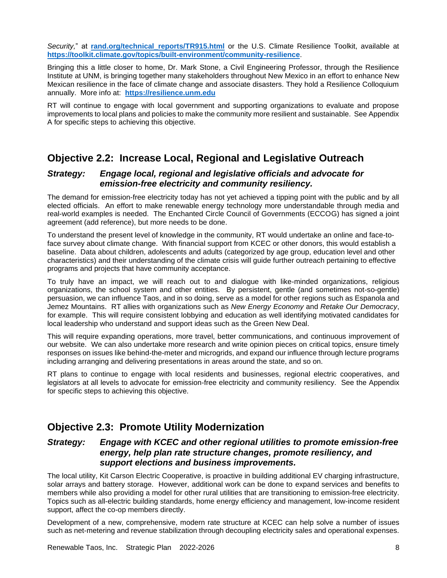*Security,*" at **[rand.org/technical\\_reports/TR915.html](https://www.rand.org/pubs/technical_reports/TR915.html)** or the U.S. Climate Resilience Toolkit, available at **<https://toolkit.climate.gov/topics/built-environment/community-resilience>**.

Bringing this a little closer to home, Dr. Mark Stone, a Civil Engineering Professor, through the Resilience Institute at UNM, is bringing together many stakeholders throughout New Mexico in an effort to enhance New Mexican resilience in the face of climate change and associate disasters. They hold a Resilience Colloquium annually. More info at: **[https://resilience.unm.edu](https://resilience.unm.edu/)**

RT will continue to engage with local government and supporting organizations to evaluate and propose improvements to local plans and policies to make the community more resilient and sustainable. See Appendix A for specific steps to achieving this objective.

# <span id="page-7-0"></span>**Objective 2.2: Increase Local, Regional and Legislative Outreach**

#### *Strategy: Engage local, regional and legislative officials and advocate for emission-free electricity and community resiliency.*

The demand for emission-free electricity today has not yet achieved a tipping point with the public and by all elected officials. An effort to make renewable energy technology more understandable through media and real-world examples is needed. The Enchanted Circle Council of Governments (ECCOG) has signed a joint agreement (add reference), but more needs to be done.

To understand the present level of knowledge in the community, RT would undertake an online and face-toface survey about climate change. With financial support from KCEC or other donors, this would establish a baseline. Data about children, adolescents and adults (categorized by age group, education level and other characteristics) and their understanding of the climate crisis will guide further outreach pertaining to effective programs and projects that have community acceptance.

To truly have an impact, we will reach out to and dialogue with like-minded organizations, religious organizations, the school system and other entities. By persistent, gentle (and sometimes not-so-gentle) persuasion, we can influence Taos, and in so doing, serve as a model for other regions such as Espanola and Jemez Mountains. RT allies with organizations such as *New Energy Economy* and *Retake Our Democracy*, for example. This will require consistent lobbying and education as well identifying motivated candidates for local leadership who understand and support ideas such as the Green New Deal.

This will require expanding operations, more travel, better communications, and continuous improvement of our website. We can also undertake more research and write opinion pieces on critical topics, ensure timely responses on issues like behind-the-meter and microgrids, and expand our influence through lecture programs including arranging and delivering presentations in areas around the state, and so on.

RT plans to continue to engage with local residents and businesses, regional electric cooperatives, and legislators at all levels to advocate for emission-free electricity and community resiliency. See the Appendix for specific steps to achieving this objective.

## <span id="page-7-1"></span>**Objective 2.3: Promote Utility Modernization**

#### *Strategy: Engage with KCEC and other regional utilities to promote emission-free energy, help plan rate structure changes, promote resiliency, and support elections and business improvements.*

The local utility, Kit Carson Electric Cooperative, is proactive in building additional EV charging infrastructure, solar arrays and battery storage. However, additional work can be done to expand services and benefits to members while also providing a model for other rural utilities that are transitioning to emission-free electricity. Topics such as all-electric building standards, home energy efficiency and management, low-income resident support, affect the co-op members directly.

Development of a new, comprehensive, modern rate structure at KCEC can help solve a number of issues such as net-metering and revenue stabilization through decoupling electricity sales and operational expenses.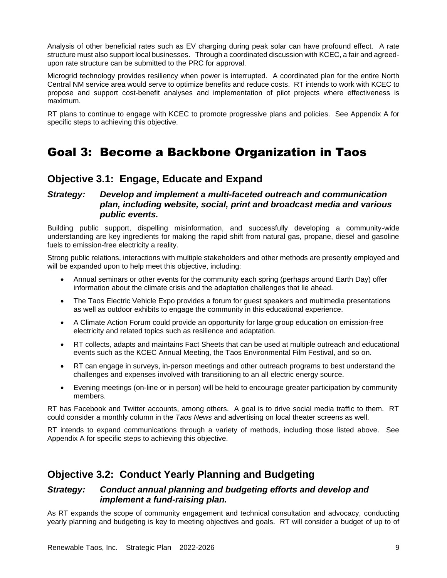Analysis of other beneficial rates such as EV charging during peak solar can have profound effect. A rate structure must also support local businesses. Through a coordinated discussion with KCEC, a fair and agreedupon rate structure can be submitted to the PRC for approval.

Microgrid technology provides resiliency when power is interrupted. A coordinated plan for the entire North Central NM service area would serve to optimize benefits and reduce costs. RT intends to work with KCEC to propose and support cost-benefit analyses and implementation of pilot projects where effectiveness is maximum.

RT plans to continue to engage with KCEC to promote progressive plans and policies. See Appendix A for specific steps to achieving this objective.

# <span id="page-8-0"></span>Goal 3: Become a Backbone Organization in Taos

### <span id="page-8-1"></span>**Objective 3.1: Engage, Educate and Expand**

#### *Strategy: Develop and implement a multi-faceted outreach and communication plan, including website, social, print and broadcast media and various public events.*

Building public support, dispelling misinformation, and successfully developing a community-wide understanding are key ingredients for making the rapid shift from natural gas, propane, diesel and gasoline fuels to emission-free electricity a reality.

Strong public relations, interactions with multiple stakeholders and other methods are presently employed and will be expanded upon to help meet this objective, including:

- Annual seminars or other events for the community each spring (perhaps around Earth Day) offer information about the climate crisis and the adaptation challenges that lie ahead.
- The Taos Electric Vehicle Expo provides a forum for guest speakers and multimedia presentations as well as outdoor exhibits to engage the community in this educational experience.
- A Climate Action Forum could provide an opportunity for large group education on emission-free electricity and related topics such as resilience and adaptation.
- RT collects, adapts and maintains Fact Sheets that can be used at multiple outreach and educational events such as the KCEC Annual Meeting, the Taos Environmental Film Festival, and so on.
- RT can engage in surveys, in-person meetings and other outreach programs to best understand the challenges and expenses involved with transitioning to an all electric energy source.
- Evening meetings (on-line or in person) will be held to encourage greater participation by community members.

RT has Facebook and Twitter accounts, among others. A goal is to drive social media traffic to them. RT could consider a monthly column in the *Taos News* and advertising on local theater screens as well.

RT intends to expand communications through a variety of methods, including those listed above. See Appendix A for specific steps to achieving this objective.

## <span id="page-8-2"></span>**Objective 3.2: Conduct Yearly Planning and Budgeting**

#### *Strategy: Conduct annual planning and budgeting efforts and develop and implement a fund-raising plan.*

As RT expands the scope of community engagement and technical consultation and advocacy, conducting yearly planning and budgeting is key to meeting objectives and goals. RT will consider a budget of up to of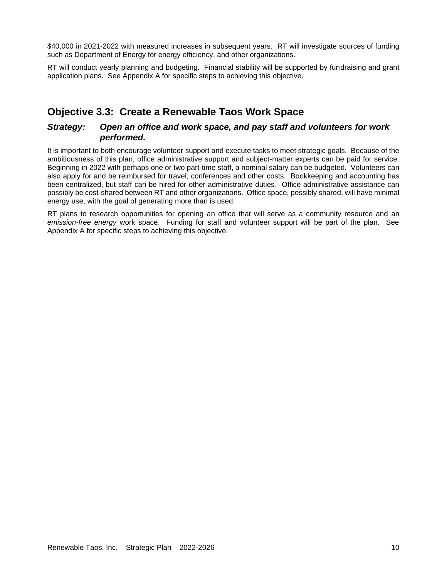\$40,000 in 2021-2022 with measured increases in subsequent years. RT will investigate sources of funding such as Department of Energy for energy efficiency, and other organizations.

RT will conduct yearly planning and budgeting. Financial stability will be supported by fundraising and grant application plans. See Appendix A for specific steps to achieving this objective.

## <span id="page-9-0"></span>**Objective 3.3: Create a Renewable Taos Work Space**

#### *Strategy: Open an office and work space, and pay staff and volunteers for work performed.*

It is important to both encourage volunteer support and execute tasks to meet strategic goals. Because of the ambitiousness of this plan, office administrative support and subject-matter experts can be paid for service. Beginning in 2022 with perhaps one or two part-time staff, a nominal salary can be budgeted. Volunteers can also apply for and be reimbursed for travel, conferences and other costs. Bookkeeping and accounting has been centralized, but staff can be hired for other administrative duties. Office administrative assistance can possibly be cost-shared between RT and other organizations. Office space, possibly shared, will have minimal energy use, with the goal of generating more than is used.

RT plans to research opportunities for opening an office that will serve as a community resource and an *emission-free energy* work space. Funding for staff and volunteer support will be part of the plan. See Appendix A for specific steps to achieving this objective.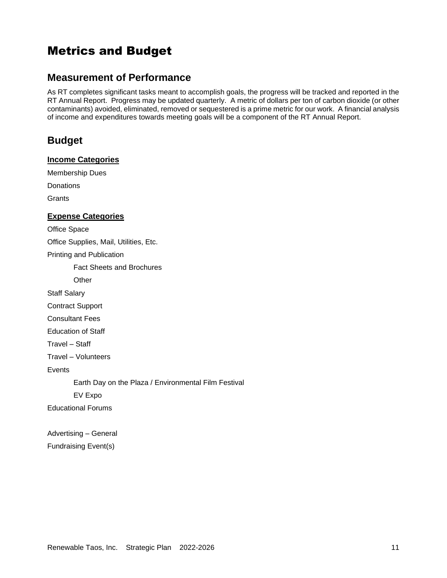# <span id="page-10-0"></span>Metrics and Budget

### <span id="page-10-1"></span>**Measurement of Performance**

As RT completes significant tasks meant to accomplish goals, the progress will be tracked and reported in the RT Annual Report. Progress may be updated quarterly. A metric of dollars per ton of carbon dioxide (or other contaminants) avoided, eliminated, removed or sequestered is a prime metric for our work. A financial analysis of income and expenditures towards meeting goals will be a component of the RT Annual Report.

## <span id="page-10-2"></span>**Budget**

#### **Income Categories**

Membership Dues

**Donations** 

**Grants** 

#### **Expense Categories**

Office Space

Office Supplies, Mail, Utilities, Etc.

Printing and Publication

Fact Sheets and Brochures

**Other** 

Staff Salary

Contract Support

Consultant Fees

Education of Staff

Travel – Staff

Travel – Volunteers

Events

Earth Day on the Plaza / Environmental Film Festival

EV Expo

Educational Forums

Advertising – General Fundraising Event(s)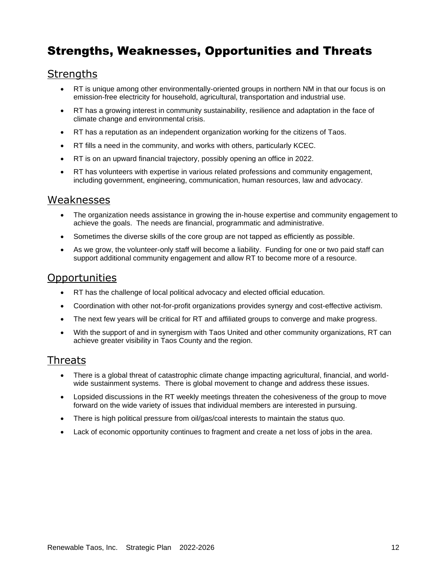# <span id="page-11-0"></span>Strengths, Weaknesses, Opportunities and Threats

## **Strengths**

- RT is unique among other environmentally-oriented groups in northern NM in that our focus is on emission-free electricity for household, agricultural, transportation and industrial use.
- RT has a growing interest in community sustainability, resilience and adaptation in the face of climate change and environmental crisis.
- RT has a reputation as an independent organization working for the citizens of Taos.
- RT fills a need in the community, and works with others, particularly KCEC.
- RT is on an upward financial trajectory, possibly opening an office in 2022.
- RT has volunteers with expertise in various related professions and community engagement, including government, engineering, communication, human resources, law and advocacy.

### **Weaknesses**

- The organization needs assistance in growing the in-house expertise and community engagement to achieve the goals. The needs are financial, programmatic and administrative.
- Sometimes the diverse skills of the core group are not tapped as efficiently as possible.
- As we grow, the volunteer-only staff will become a liability. Funding for one or two paid staff can support additional community engagement and allow RT to become more of a resource.

### **Opportunities**

- RT has the challenge of local political advocacy and elected official education.
- Coordination with other not-for-profit organizations provides synergy and cost-effective activism.
- The next few years will be critical for RT and affiliated groups to converge and make progress.
- With the support of and in synergism with Taos United and other community organizations, RT can achieve greater visibility in Taos County and the region.

### Threats

- There is a global threat of catastrophic climate change impacting agricultural, financial, and worldwide sustainment systems. There is global movement to change and address these issues.
- Lopsided discussions in the RT weekly meetings threaten the cohesiveness of the group to move forward on the wide variety of issues that individual members are interested in pursuing.
- There is high political pressure from oil/gas/coal interests to maintain the status quo.
- Lack of economic opportunity continues to fragment and create a net loss of jobs in the area.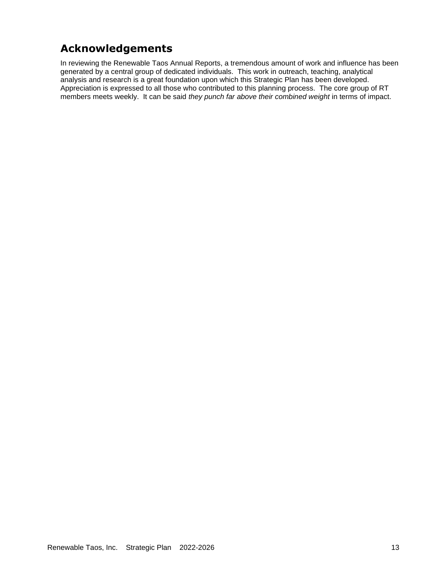# **Acknowledgements**

In reviewing the Renewable Taos Annual Reports, a tremendous amount of work and influence has been generated by a central group of dedicated individuals. This work in outreach, teaching, analytical analysis and research is a great foundation upon which this Strategic Plan has been developed. Appreciation is expressed to all those who contributed to this planning process. The core group of RT members meets weekly. It can be said *they punch far above their combined weight* in terms of impact.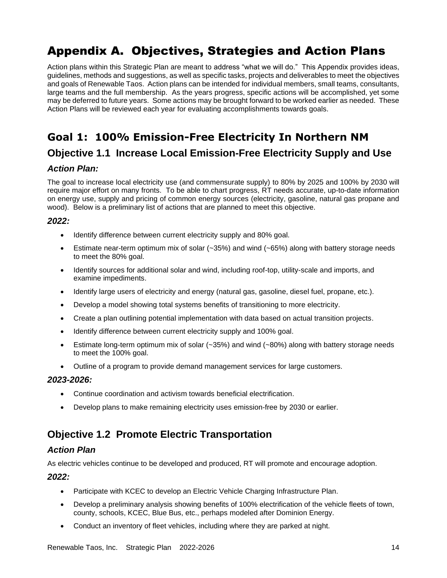# <span id="page-13-0"></span>Appendix A. Objectives, Strategies and Action Plans

Action plans within this Strategic Plan are meant to address "what we will do." This Appendix provides ideas, guidelines, methods and suggestions, as well as specific tasks, projects and deliverables to meet the objectives and goals of Renewable Taos. Action plans can be intended for individual members, small teams, consultants, large teams and the full membership. As the years progress, specific actions will be accomplished, yet some may be deferred to future years. Some actions may be brought forward to be worked earlier as needed. These Action Plans will be reviewed each year for evaluating accomplishments towards goals.

# **Goal 1: 100% Emission-Free Electricity In Northern NM**

## **Objective 1.1 Increase Local Emission-Free Electricity Supply and Use**

#### *Action Plan:*

The goal to increase local electricity use (and commensurate supply) to 80% by 2025 and 100% by 2030 will require major effort on many fronts. To be able to chart progress, RT needs accurate, up-to-date information on energy use, supply and pricing of common energy sources (electricity, gasoline, natural gas propane and wood). Below is a preliminary list of actions that are planned to meet this objective.

#### *2022:*

- Identify difference between current electricity supply and 80% goal.
- Estimate near-term optimum mix of solar  $(-35%)$  and wind  $(-65%)$  along with battery storage needs to meet the 80% goal.
- Identify sources for additional solar and wind, including roof-top, utility-scale and imports, and examine impediments.
- Identify large users of electricity and energy (natural gas, gasoline, diesel fuel, propane, etc.).
- Develop a model showing total systems benefits of transitioning to more electricity.
- Create a plan outlining potential implementation with data based on actual transition projects.
- Identify difference between current electricity supply and 100% goal.
- Estimate long-term optimum mix of solar (~35%) and wind (~80%) along with battery storage needs to meet the 100% goal.
- Outline of a program to provide demand management services for large customers.

#### *2023-2026:*

- Continue coordination and activism towards beneficial electrification.
- Develop plans to make remaining electricity uses emission-free by 2030 or earlier.

# **Objective 1.2 Promote Electric Transportation**

#### *Action Plan*

As electric vehicles continue to be developed and produced, RT will promote and encourage adoption.

#### *2022:*

- Participate with KCEC to develop an Electric Vehicle Charging Infrastructure Plan.
- Develop a preliminary analysis showing benefits of 100% electrification of the vehicle fleets of town, county, schools, KCEC, Blue Bus, etc., perhaps modeled after Dominion Energy.
- Conduct an inventory of fleet vehicles, including where they are parked at night.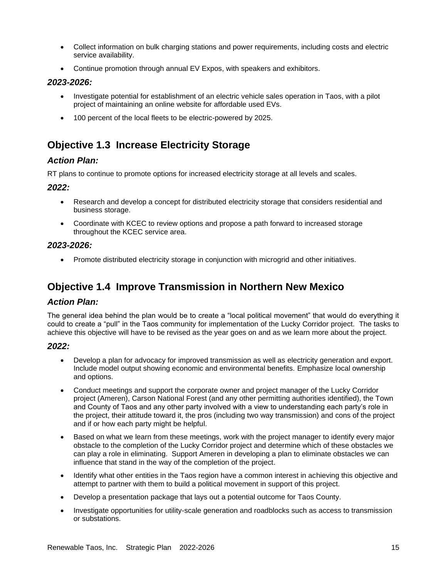- Collect information on bulk charging stations and power requirements, including costs and electric service availability.
- Continue promotion through annual EV Expos, with speakers and exhibitors.

#### *2023-2026:*

- Investigate potential for establishment of an electric vehicle sales operation in Taos, with a pilot project of maintaining an online website for affordable used EVs.
- 100 percent of the local fleets to be electric-powered by 2025.

# **Objective 1.3 Increase Electricity Storage**

#### *Action Plan:*

RT plans to continue to promote options for increased electricity storage at all levels and scales.

#### *2022:*

- Research and develop a concept for distributed electricity storage that considers residential and business storage.
- Coordinate with KCEC to review options and propose a path forward to increased storage throughout the KCEC service area.

#### *2023-2026:*

• Promote distributed electricity storage in conjunction with microgrid and other initiatives.

## **Objective 1.4 Improve Transmission in Northern New Mexico**

#### *Action Plan:*

The general idea behind the plan would be to create a "local political movement" that would do everything it could to create a "pull" in the Taos community for implementation of the Lucky Corridor project. The tasks to achieve this objective will have to be revised as the year goes on and as we learn more about the project.

#### *2022:*

- Develop a plan for advocacy for improved transmission as well as electricity generation and export. Include model output showing economic and environmental benefits. Emphasize local ownership and options.
- Conduct meetings and support the corporate owner and project manager of the Lucky Corridor project (Ameren), Carson National Forest (and any other permitting authorities identified), the Town and County of Taos and any other party involved with a view to understanding each party's role in the project, their attitude toward it, the pros (including two way transmission) and cons of the project and if or how each party might be helpful.
- Based on what we learn from these meetings, work with the project manager to identify every major obstacle to the completion of the Lucky Corridor project and determine which of these obstacles we can play a role in eliminating. Support Ameren in developing a plan to eliminate obstacles we can influence that stand in the way of the completion of the project.
- Identify what other entities in the Taos region have a common interest in achieving this objective and attempt to partner with them to build a political movement in support of this project.
- Develop a presentation package that lays out a potential outcome for Taos County.
- Investigate opportunities for utility-scale generation and roadblocks such as access to transmission or substations.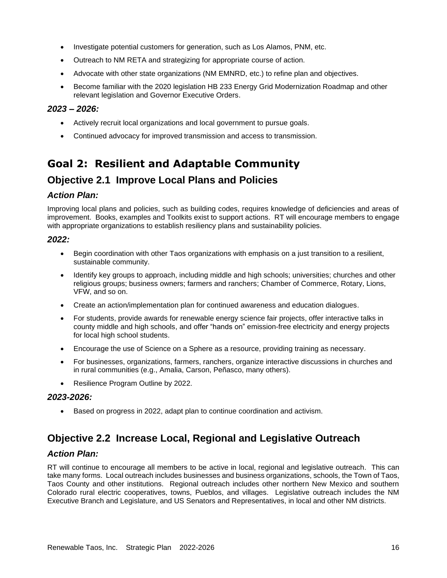- Investigate potential customers for generation, such as Los Alamos, PNM, etc.
- Outreach to NM RETA and strategizing for appropriate course of action.
- Advocate with other state organizations (NM EMNRD, etc.) to refine plan and objectives.
- Become familiar with the 2020 legislation HB 233 Energy Grid Modernization Roadmap and other relevant legislation and Governor Executive Orders.

#### *2023 – 2026:*

- Actively recruit local organizations and local government to pursue goals.
- Continued advocacy for improved transmission and access to transmission.

# **Goal 2: Resilient and Adaptable Community**

# **Objective 2.1 Improve Local Plans and Policies**

#### *Action Plan:*

Improving local plans and policies, such as building codes, requires knowledge of deficiencies and areas of improvement. Books, examples and Toolkits exist to support actions. RT will encourage members to engage with appropriate organizations to establish resiliency plans and sustainability policies.

#### *2022:*

- Begin coordination with other Taos organizations with emphasis on a just transition to a resilient, sustainable community.
- Identify key groups to approach, including middle and high schools; universities; churches and other religious groups; business owners; farmers and ranchers; Chamber of Commerce, Rotary, Lions, VFW, and so on.
- Create an action/implementation plan for continued awareness and education dialogues.
- For students, provide awards for renewable energy science fair projects, offer interactive talks in county middle and high schools, and offer "hands on" emission-free electricity and energy projects for local high school students.
- Encourage the use of Science on a Sphere as a resource, providing training as necessary.
- For businesses, organizations, farmers, ranchers, organize interactive discussions in churches and in rural communities (e.g., Amalia, Carson, Peñasco, many others).
- Resilience Program Outline by 2022.

#### *2023-2026:*

• Based on progress in 2022, adapt plan to continue coordination and activism.

# **Objective 2.2 Increase Local, Regional and Legislative Outreach**

#### *Action Plan:*

RT will continue to encourage all members to be active in local, regional and legislative outreach. This can take many forms. Local outreach includes businesses and business organizations, schools, the Town of Taos, Taos County and other institutions. Regional outreach includes other northern New Mexico and southern Colorado rural electric cooperatives, towns, Pueblos, and villages. Legislative outreach includes the NM Executive Branch and Legislature, and US Senators and Representatives, in local and other NM districts.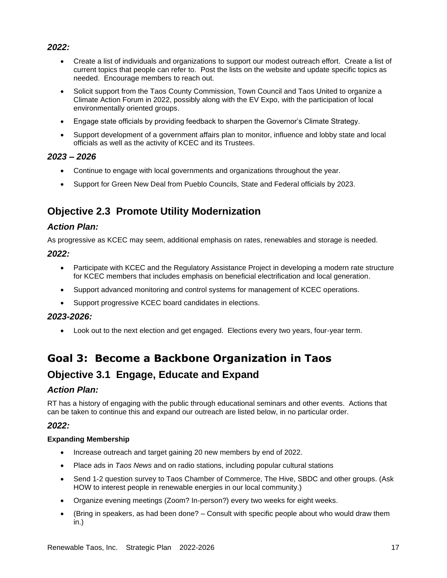#### *2022:*

- Create a list of individuals and organizations to support our modest outreach effort. Create a list of current topics that people can refer to. Post the lists on the website and update specific topics as needed. Encourage members to reach out.
- Solicit support from the Taos County Commission, Town Council and Taos United to organize a Climate Action Forum in 2022, possibly along with the EV Expo, with the participation of local environmentally oriented groups.
- Engage state officials by providing feedback to sharpen the Governor's Climate Strategy.
- Support development of a government affairs plan to monitor, influence and lobby state and local officials as well as the activity of KCEC and its Trustees.

#### *2023 – 2026*

- Continue to engage with local governments and organizations throughout the year.
- Support for Green New Deal from Pueblo Councils, State and Federal officials by 2023.

# **Objective 2.3 Promote Utility Modernization**

#### *Action Plan:*

As progressive as KCEC may seem, additional emphasis on rates, renewables and storage is needed.

#### *2022:*

- Participate with KCEC and the Regulatory Assistance Project in developing a modern rate structure for KCEC members that includes emphasis on beneficial electrification and local generation.
- Support advanced monitoring and control systems for management of KCEC operations.
- Support progressive KCEC board candidates in elections.

#### *2023-2026:*

• Look out to the next election and get engaged. Elections every two years, four-year term.

# **Goal 3: Become a Backbone Organization in Taos Objective 3.1 Engage, Educate and Expand**

#### *Action Plan:*

RT has a history of engaging with the public through educational seminars and other events. Actions that can be taken to continue this and expand our outreach are listed below, in no particular order.

#### *2022:*

#### **Expanding Membership**

- Increase outreach and target gaining 20 new members by end of 2022.
- Place ads in *Taos News* and on radio stations, including popular cultural stations
- Send 1-2 question survey to Taos Chamber of Commerce, The Hive, SBDC and other groups. (Ask HOW to interest people in renewable energies in our local community.)
- Organize evening meetings (Zoom? In-person?) every two weeks for eight weeks.
- (Bring in speakers, as had been done? Consult with specific people about who would draw them in.)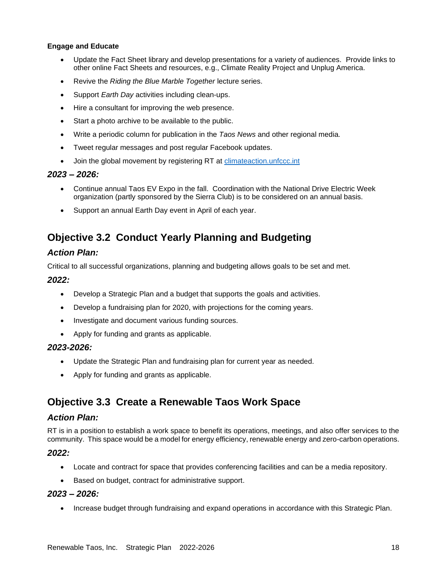#### **Engage and Educate**

- Update the Fact Sheet library and develop presentations for a variety of audiences. Provide links to other online Fact Sheets and resources, e.g., Climate Reality Project and Unplug America.
- Revive the *Riding the Blue Marble Together* lecture series.
- Support *Earth Day* activities including clean-ups.
- Hire a consultant for improving the web presence.
- Start a photo archive to be available to the public.
- Write a periodic column for publication in the *Taos News* and other regional media*.*
- Tweet regular messages and post regular Facebook updates.
- Join the global movement by registering RT at [climateaction.unfccc.int](https://climateaction.unfccc.int/)

#### *2023 – 2026:*

- Continue annual Taos EV Expo in the fall. Coordination with the National Drive Electric Week organization (partly sponsored by the Sierra Club) is to be considered on an annual basis.
- Support an annual Earth Day event in April of each year.

## **Objective 3.2 Conduct Yearly Planning and Budgeting**

#### *Action Plan:*

Critical to all successful organizations, planning and budgeting allows goals to be set and met.

#### *2022:*

- Develop a Strategic Plan and a budget that supports the goals and activities.
- Develop a fundraising plan for 2020, with projections for the coming years.
- Investigate and document various funding sources.
- Apply for funding and grants as applicable.

#### *2023-2026:*

- Update the Strategic Plan and fundraising plan for current year as needed.
- Apply for funding and grants as applicable.

### **Objective 3.3 Create a Renewable Taos Work Space**

#### *Action Plan:*

RT is in a position to establish a work space to benefit its operations, meetings, and also offer services to the community. This space would be a model for energy efficiency, renewable energy and zero-carbon operations.

#### *2022:*

- Locate and contract for space that provides conferencing facilities and can be a media repository.
- Based on budget, contract for administrative support.

#### *2023 – 2026:*

• Increase budget through fundraising and expand operations in accordance with this Strategic Plan.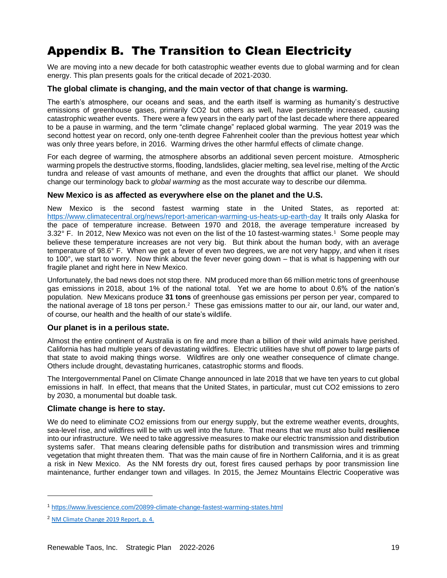# <span id="page-18-0"></span>Appendix B. The Transition to Clean Electricity

We are moving into a new decade for both catastrophic weather events due to global warming and for clean energy. This plan presents goals for the critical decade of 2021-2030.

#### **The global climate is changing, and the main vector of that change is warming.**

The earth's atmosphere, our oceans and seas, and the earth itself is warming as humanity's destructive emissions of greenhouse gases, primarily CO2 but others as well, have persistently increased, causing catastrophic weather events. There were a few years in the early part of the last decade where there appeared to be a pause in warming, and the term "climate change" replaced global warming. The year 2019 was the second hottest year on record, only one-tenth degree Fahrenheit cooler than the previous hottest year which was only three years before, in 2016. Warming drives the other harmful effects of climate change.

For each degree of warming, the atmosphere absorbs an additional seven percent moisture. Atmospheric warming propels the destructive storms, flooding, landslides, glacier melting, sea level rise, melting of the Arctic tundra and release of vast amounts of methane, and even the droughts that afflict our planet. We should change our terminology back to *global warming* as the most accurate way to describe our dilemma.

#### **New Mexico is as affected as everywhere else on the planet and the U.S.**

New Mexico is the second fastest warming state in the United States, as reported at: <https://www.climatecentral.org/news/report-american-warming-us-heats-up-earth-day> It trails only Alaska for the pace of temperature increase. Between 1970 and 2018, the average temperature increased by 3.32 $\degree$  F. In 2012, New Mexico was not even on the list of the 10 fastest-warming states.<sup>1</sup> Some people may believe these temperature increases are not very big. But think about the human body, with an average temperature of 98.6° F. When we get a fever of even two degrees, we are not very happy, and when it rises to 100°, we start to worry. Now think about the fever never going down – that is what is happening with our fragile planet and right here in New Mexico.

Unfortunately, the bad news does not stop there. NM produced more than 66 million metric tons of greenhouse gas emissions in 2018, about 1% of the national total. Yet we are home to about 0.6% of the nation's population. New Mexicans produce **31 tons** of greenhouse gas emissions per person per year, compared to the national average of 18 tons per person.<sup>2</sup> These gas emissions matter to our air, our land, our water and, of course, our health and the health of our state's wildlife.

#### **Our planet is in a perilous state.**

Almost the entire continent of Australia is on fire and more than a billion of their wild animals have perished. California has had multiple years of devastating wildfires. Electric utilities have shut off power to large parts of that state to avoid making things worse. Wildfires are only one weather consequence of climate change. Others include drought, devastating hurricanes, catastrophic storms and floods.

The Intergovernmental Panel on Climate Change announced in late 2018 that we have ten years to cut global emissions in half. In effect, that means that the United States, in particular, must cut CO2 emissions to zero by 2030, a monumental but doable task.

#### **Climate change is here to stay.**

We do need to eliminate CO2 emissions from our energy supply, but the extreme weather events, droughts, sea-level rise, and wildfires will be with us well into the future. That means that we must also build **resilience** into our infrastructure. We need to take aggressive measures to make our electric transmission and distribution systems safer. That means clearing defensible paths for distribution and transmission wires and trimming vegetation that might threaten them. That was the main cause of fire in Northern California, and it is as great a risk in New Mexico. As the NM forests dry out, forest fires caused perhaps by poor transmission line maintenance, further endanger town and villages. In 2015, the Jemez Mountains Electric Cooperative was

<sup>1</sup> <https://www.livescience.com/20899-climate-change-fastest-warming-states.html>

<sup>2</sup> [NM Climate Change 2019 Report,](https://www.climateaction.state.nm.us/documents/reports/NMClimateChange_2019.pdf) p. 4.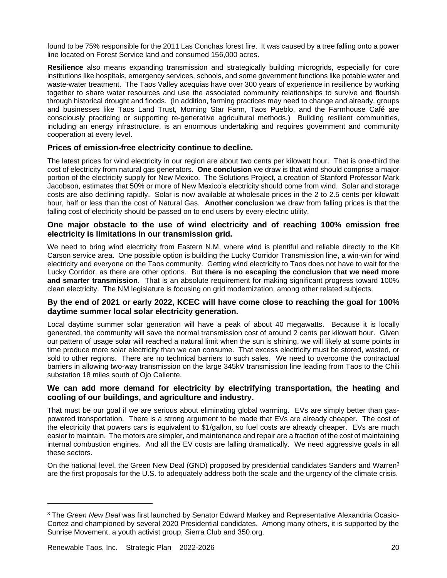found to be 75% responsible for the 2011 Las Conchas forest fire. It was caused by a tree falling onto a power line located on Forest Service land and consumed 156,000 acres.

**Resilience** also means expanding transmission and strategically building microgrids, especially for core institutions like hospitals, emergency services, schools, and some government functions like potable water and waste-water treatment. The Taos Valley acequias have over 300 years of experience in resilience by working together to share water resources and use the associated community relationships to survive and flourish through historical drought and floods. (In addition, farming practices may need to change and already, groups and businesses like Taos Land Trust, Morning Star Farm, Taos Pueblo, and the Farmhouse Café are consciously practicing or supporting re-generative agricultural methods.) Building resilient communities, including an energy infrastructure, is an enormous undertaking and requires government and community cooperation at every level.

#### **Prices of emission-free electricity continue to decline.**

The latest prices for wind electricity in our region are about two cents per kilowatt hour. That is one-third the cost of electricity from natural gas generators. **One conclusion** we draw is that wind should comprise a major portion of the electricity supply for New Mexico. The Solutions Project, a creation of Stanford Professor Mark Jacobson, estimates that 50% or more of New Mexico's electricity should come from wind. Solar and storage costs are also declining rapidly. Solar is now available at wholesale prices in the 2 to 2.5 cents per kilowatt hour, half or less than the cost of Natural Gas. **Another conclusion** we draw from falling prices is that the falling cost of electricity should be passed on to end users by every electric utility.

#### **One major obstacle to the use of wind electricity and of reaching 100% emission free electricity is limitations in our transmission grid.**

We need to bring wind electricity from Eastern N.M. where wind is plentiful and reliable directly to the Kit Carson service area. One possible option is building the Lucky Corridor Transmission line, a win-win for wind electricity and everyone on the Taos community. Getting wind electricity to Taos does not have to wait for the Lucky Corridor, as there are other options. But **there is no escaping the conclusion that we need more and smarter transmission**. That is an absolute requirement for making significant progress toward 100% clean electricity. The NM legislature is focusing on grid modernization, among other related subjects.

#### **By the end of 2021 or early 2022, KCEC will have come close to reaching the goal for 100% daytime summer local solar electricity generation.**

Local daytime summer solar generation will have a peak of about 40 megawatts. Because it is locally generated, the community will save the normal transmission cost of around 2 cents per kilowatt hour. Given our pattern of usage solar will reached a natural limit when the sun is shining, we will likely at some points in time produce more solar electricity than we can consume. That excess electricity must be stored, wasted, or sold to other regions. There are no technical barriers to such sales. We need to overcome the contractual barriers in allowing two-way transmission on the large 345kV transmission line leading from Taos to the Chili substation 18 miles south of Ojo Caliente.

#### **We can add more demand for electricity by electrifying transportation, the heating and cooling of our buildings, and agriculture and industry.**

That must be our goal if we are serious about eliminating global warming. EVs are simply better than gaspowered transportation. There is a strong argument to be made that EVs are already cheaper. The cost of the electricity that powers cars is equivalent to \$1/gallon, so fuel costs are already cheaper. EVs are much easier to maintain. The motors are simpler, and maintenance and repair are a fraction of the cost of maintaining internal combustion engines. And all the EV costs are falling dramatically. We need aggressive goals in all these sectors.

On the national level, the Green New Deal (GND) proposed by presidential candidates Sanders and Warren<sup>3</sup> are the first proposals for the U.S. to adequately address both the scale and the urgency of the climate crisis.

<sup>3</sup> The *Green New Deal* was first launched by Senator Edward Markey and Representative Alexandria Ocasio-Cortez and championed by several 2020 Presidential candidates. Among many others, it is supported by the Sunrise Movement, a youth activist group, Sierra Club and 350.org.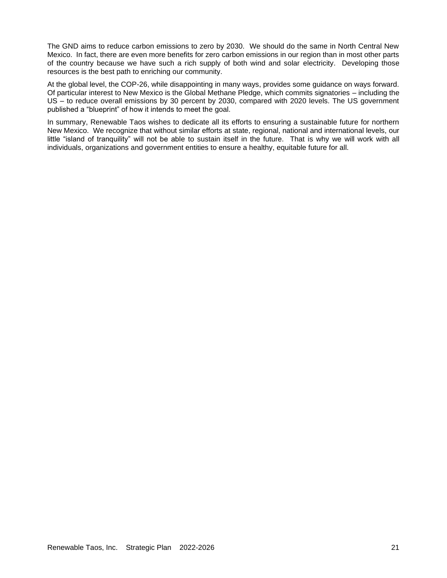The GND aims to reduce carbon emissions to zero by 2030. We should do the same in North Central New Mexico. In fact, there are even more benefits for zero carbon emissions in our region than in most other parts of the country because we have such a rich supply of both wind and solar electricity. Developing those resources is the best path to enriching our community.

At the global level, the COP-26, while disappointing in many ways, provides some guidance on ways forward. Of particular interest to New Mexico is the Global Methane Pledge, which commits signatories – including the US – to reduce overall emissions by 30 percent by 2030, compared with 2020 levels. The US government published a "blueprint" of how it intends to meet the goal.

In summary, Renewable Taos wishes to dedicate all its efforts to ensuring a sustainable future for northern New Mexico. We recognize that without similar efforts at state, regional, national and international levels, our little "island of tranquility" will not be able to sustain itself in the future. That is why we will work with all individuals, organizations and government entities to ensure a healthy, equitable future for all.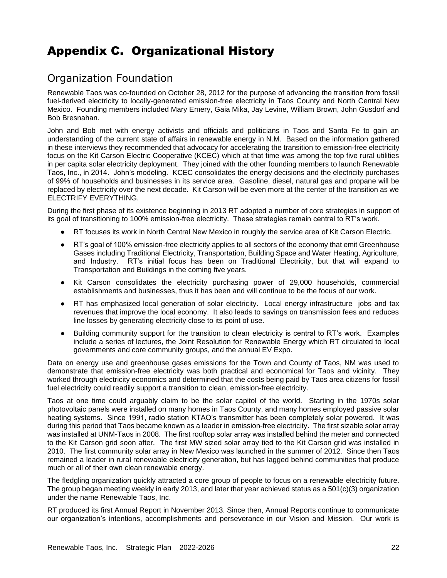# <span id="page-21-0"></span>Appendix C. Organizational History

# <span id="page-21-1"></span>Organization Foundation

Renewable Taos was co-founded on October 28, 2012 for the purpose of advancing the transition from fossil fuel-derived electricity to locally-generated emission-free electricity in Taos County and North Central New Mexico. Founding members included Mary Emery, Gaia Mika, Jay Levine, William Brown, John Gusdorf and Bob Bresnahan.

John and Bob met with energy activists and officials and politicians in Taos and Santa Fe to gain an understanding of the current state of affairs in renewable energy in N.M. Based on the information gathered in these interviews they recommended that advocacy for accelerating the transition to emission-free electricity focus on the Kit Carson Electric Cooperative (KCEC) which at that time was among the top five rural utilities in per capita solar electricity deployment. They joined with the other founding members to launch Renewable Taos, Inc., in 2014. John's modeling. KCEC consolidates the energy decisions and the electricity purchases of 99% of households and businesses in its service area. Gasoline, diesel, natural gas and propane will be replaced by electricity over the next decade. Kit Carson will be even more at the center of the transition as we ELECTRIFY EVERYTHING.

During the first phase of its existence beginning in 2013 RT adopted a number of core strategies in support of its goal of transitioning to 100% emission-free electricity. These strategies remain central to RT's work.

- RT focuses its work in North Central New Mexico in roughly the service area of Kit Carson Electric.
- RT's goal of 100% emission-free electricity applies to all sectors of the economy that emit Greenhouse Gases including Traditional Electricity, Transportation, Building Space and Water Heating, Agriculture, and Industry. RT's initial focus has been on Traditional Electricity, but that will expand to Transportation and Buildings in the coming five years.
- Kit Carson consolidates the electricity purchasing power of 29,000 households, commercial establishments and businesses, thus it has been and will continue to be the focus of our work.
- RT has emphasized local generation of solar electricity. Local energy infrastructure jobs and tax revenues that improve the local economy. It also leads to savings on transmission fees and reduces line losses by generating electricity close to its point of use.
- Building community support for the transition to clean electricity is central to RT's work. Examples include a series of lectures, the Joint Resolution for Renewable Energy which RT circulated to local governments and core community groups, and the annual EV Expo.

Data on energy use and greenhouse gases emissions for the Town and County of Taos, NM was used to demonstrate that emission-free electricity was both practical and economical for Taos and vicinity. They worked through electricity economics and determined that the costs being paid by Taos area citizens for fossil fuel electricity could readily support a transition to clean, emission-free electricity.

Taos at one time could arguably claim to be the solar capitol of the world. Starting in the 1970s solar photovoltaic panels were installed on many homes in Taos County, and many homes employed passive solar heating systems. Since 1991, radio station KTAO's transmitter has been completely solar powered. It was during this period that Taos became known as a leader in emission-free electricity. The first sizable solar array was installed at UNM-Taos in 2008. The first rooftop solar array was installed behind the meter and connected to the Kit Carson grid soon after. The first MW sized solar array tied to the Kit Carson grid was installed in 2010. The first community solar array in New Mexico was launched in the summer of 2012. Since then Taos remained a leader in rural renewable electricity generation, but has lagged behind communities that produce much or all of their own clean renewable energy.

The fledgling organization quickly attracted a core group of people to focus on a renewable electricity future. The group began meeting weekly in early 2013, and later that year achieved status as a 501(c)(3) organization under the name Renewable Taos, Inc.

RT produced its first Annual Report in November 2013. Since then, Annual Reports continue to communicate our organization's intentions, accomplishments and perseverance in our Vision and Mission. Our work is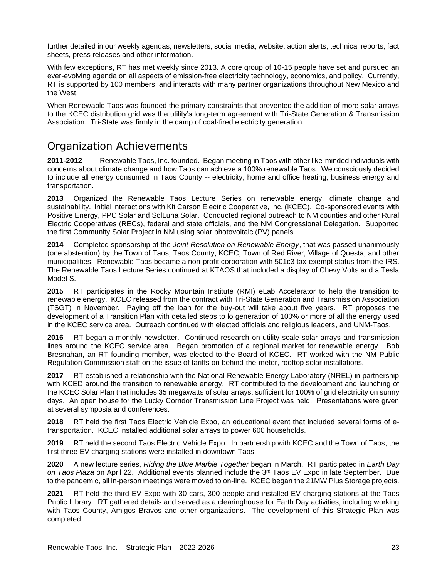further detailed in our weekly agendas, newsletters, social media, website, action alerts, technical reports, fact sheets, press releases and other information.

With few exceptions, RT has met weekly since 2013. A core group of 10-15 people have set and pursued an ever-evolving agenda on all aspects of emission-free electricity technology, economics, and policy. Currently, RT is supported by 100 members, and interacts with many partner organizations throughout New Mexico and the West.

When Renewable Taos was founded the primary constraints that prevented the addition of more solar arrays to the KCEC distribution grid was the utility's long-term agreement with Tri-State Generation & Transmission Association. Tri-State was firmly in the camp of coal-fired electricity generation.

## <span id="page-22-0"></span>Organization Achievements

**2011-2012** Renewable Taos, Inc. founded. Began meeting in Taos with other like-minded individuals with concerns about climate change and how Taos can achieve a 100% renewable Taos. We consciously decided to include all energy consumed in Taos County -- electricity, home and office heating, business energy and transportation.

**2013** Organized the Renewable Taos Lecture Series on renewable energy, climate change and sustainability. Initial interactions with Kit Carson Electric Cooperative, Inc. (KCEC). Co-sponsored events with Positive Energy, PPC Solar and SolLuna Solar. Conducted regional outreach to NM counties and other Rural Electric Cooperatives (RECs), federal and state officials, and the NM Congressional Delegation. Supported the first Community Solar Project in NM using solar photovoltaic (PV) panels.

**2014** Completed sponsorship of the *Joint Resolution on Renewable Energy*, that was passed unanimously (one abstention) by the Town of Taos, Taos County, KCEC, Town of Red River, Village of Questa, and other municipalities. Renewable Taos became a non-profit corporation with 501c3 tax-exempt status from the IRS. The Renewable Taos Lecture Series continued at KTAOS that included a display of Chevy Volts and a Tesla Model S.

**2015** RT participates in the Rocky Mountain Institute (RMI) eLab Accelerator to help the transition to renewable energy. KCEC released from the contract with Tri-State Generation and Transmission Association (TSGT) in November. Paying off the loan for the buy-out will take about five years. RT proposes the development of a Transition Plan with detailed steps to lo generation of 100% or more of all the energy used in the KCEC service area. Outreach continued with elected officials and religious leaders, and UNM-Taos.

**2016** RT began a monthly newsletter. Continued research on utility-scale solar arrays and transmission lines around the KCEC service area. Began promotion of a regional market for renewable energy. Bob Bresnahan, an RT founding member, was elected to the Board of KCEC. RT worked with the NM Public Regulation Commission staff on the issue of tariffs on behind-the-meter, rooftop solar installations.

**2017** RT established a relationship with the National Renewable Energy Laboratory (NREL) in partnership with KCED around the transition to renewable energy. RT contributed to the development and launching of the KCEC Solar Plan that includes 35 megawatts of solar arrays, sufficient for 100% of grid electricity on sunny days. An open house for the Lucky Corridor Transmission Line Project was held. Presentations were given at several symposia and conferences.

**2018** RT held the first Taos Electric Vehicle Expo, an educational event that included several forms of etransportation. KCEC installed additional solar arrays to power 600 households.

**2019** RT held the second Taos Electric Vehicle Expo. In partnership with KCEC and the Town of Taos, the first three EV charging stations were installed in downtown Taos.

**2020** A new lecture series, *Riding the Blue Marble Together* began in March. RT participated in *Earth Day on Taos Plaza* on April 22. Additional events planned include the 3rd Taos EV Expo in late September. Due to the pandemic, all in-person meetings were moved to on-line. KCEC began the 21MW Plus Storage projects.

**2021** RT held the third EV Expo with 30 cars, 300 people and installed EV charging stations at the Taos Public Library. RT gathered details and served as a clearinghouse for Earth Day activities, including working with Taos County, Amigos Bravos and other organizations. The development of this Strategic Plan was completed.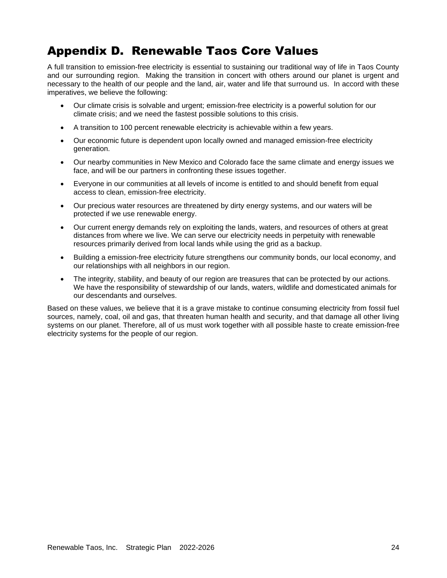# <span id="page-23-0"></span>Appendix D. Renewable Taos Core Values

A full transition to emission-free electricity is essential to sustaining our traditional way of life in Taos County and our surrounding region. Making the transition in concert with others around our planet is urgent and necessary to the health of our people and the land, air, water and life that surround us. In accord with these imperatives, we believe the following:

- Our climate crisis is solvable and urgent; emission-free electricity is a powerful solution for our climate crisis; and we need the fastest possible solutions to this crisis.
- A transition to 100 percent renewable electricity is achievable within a few years.
- Our economic future is dependent upon locally owned and managed emission-free electricity generation.
- Our nearby communities in New Mexico and Colorado face the same climate and energy issues we face, and will be our partners in confronting these issues together.
- Everyone in our communities at all levels of income is entitled to and should benefit from equal access to clean, emission-free electricity.
- Our precious water resources are threatened by dirty energy systems, and our waters will be protected if we use renewable energy.
- Our current energy demands rely on exploiting the lands, waters, and resources of others at great distances from where we live. We can serve our electricity needs in perpetuity with renewable resources primarily derived from local lands while using the grid as a backup.
- Building a emission-free electricity future strengthens our community bonds, our local economy, and our relationships with all neighbors in our region.
- The integrity, stability, and beauty of our region are treasures that can be protected by our actions. We have the responsibility of stewardship of our lands, waters, wildlife and domesticated animals for our descendants and ourselves.

Based on these values, we believe that it is a grave mistake to continue consuming electricity from fossil fuel sources, namely, coal, oil and gas, that threaten human health and security, and that damage all other living systems on our planet. Therefore, all of us must work together with all possible haste to create emission-free electricity systems for the people of our region.